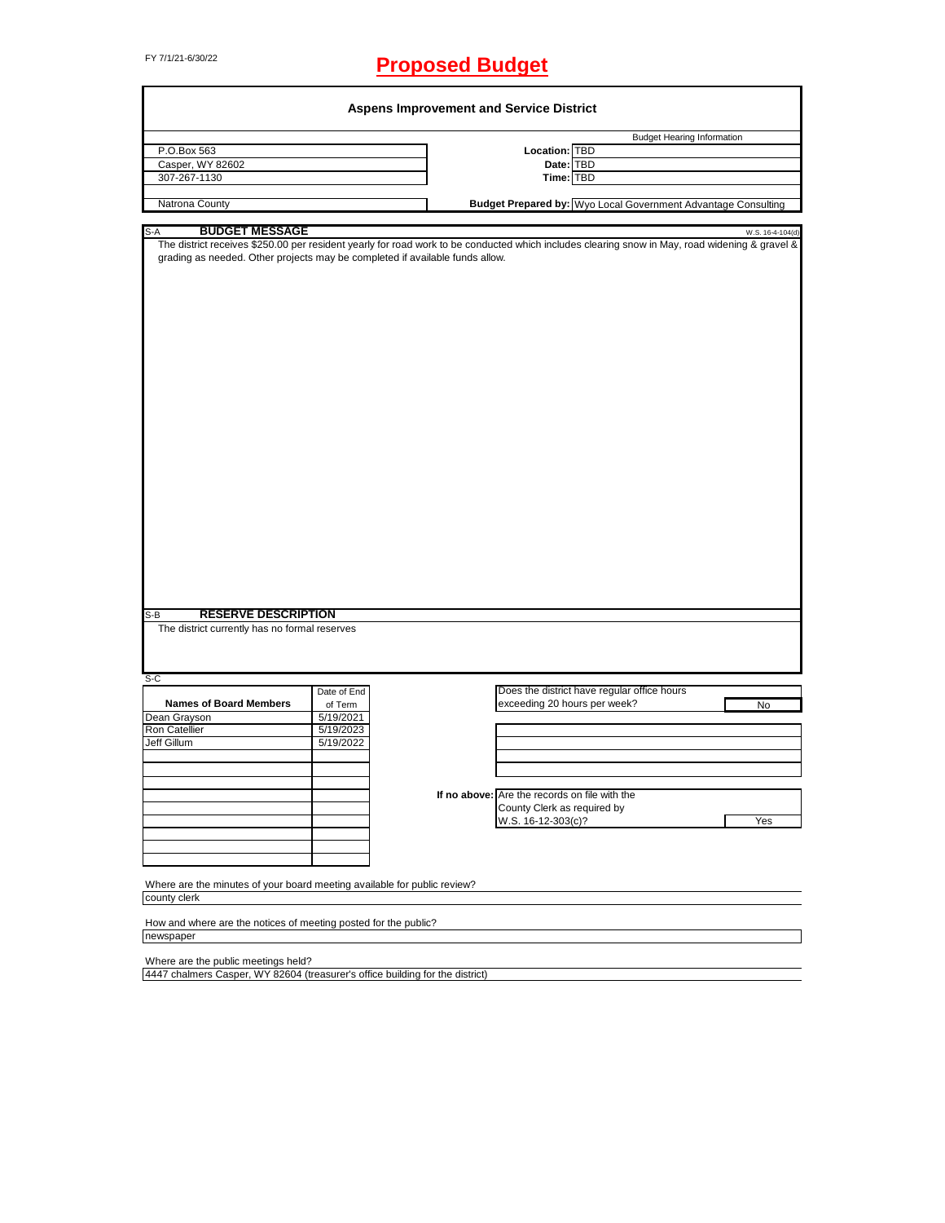# FY 7/1/21-6/30/22 **Proposed Budget**

| <b>Budget Hearing Information</b><br>P.O.Box 563<br>Location: TBD<br>Casper, WY 82602<br>Date: TBD<br>307-267-1130<br>Time: TBD<br>Natrona County<br><b>BUDGET MESSAGE</b><br>W.S. 16-4-104(d)<br>The district receives \$250.00 per resident yearly for road work to be conducted which includes clearing snow in May, road widening & gravel &<br>grading as needed. Other projects may be completed if available funds allow.<br><b>RESERVE DESCRIPTION</b><br>$S-B$<br>The district currently has no formal reserves<br>Does the district have regular office hours<br>Date of End<br><b>Names of Board Members</b><br>exceeding 20 hours per week?<br>of Term<br>No<br>5/19/2021<br>5/19/2023<br>5/19/2022<br>If no above: Are the records on file with the<br>County Clerk as required by<br>W.S. 16-12-303(c)?<br>Yes<br>Where are the minutes of your board meeting available for public review?<br>county clerk<br>How and where are the notices of meeting posted for the public?<br>newspaper<br>Where are the public meetings held? |                                              |                                                               |
|-------------------------------------------------------------------------------------------------------------------------------------------------------------------------------------------------------------------------------------------------------------------------------------------------------------------------------------------------------------------------------------------------------------------------------------------------------------------------------------------------------------------------------------------------------------------------------------------------------------------------------------------------------------------------------------------------------------------------------------------------------------------------------------------------------------------------------------------------------------------------------------------------------------------------------------------------------------------------------------------------------------------------------------------------|----------------------------------------------|---------------------------------------------------------------|
|                                                                                                                                                                                                                                                                                                                                                                                                                                                                                                                                                                                                                                                                                                                                                                                                                                                                                                                                                                                                                                                 |                                              |                                                               |
|                                                                                                                                                                                                                                                                                                                                                                                                                                                                                                                                                                                                                                                                                                                                                                                                                                                                                                                                                                                                                                                 |                                              |                                                               |
|                                                                                                                                                                                                                                                                                                                                                                                                                                                                                                                                                                                                                                                                                                                                                                                                                                                                                                                                                                                                                                                 |                                              |                                                               |
|                                                                                                                                                                                                                                                                                                                                                                                                                                                                                                                                                                                                                                                                                                                                                                                                                                                                                                                                                                                                                                                 |                                              |                                                               |
|                                                                                                                                                                                                                                                                                                                                                                                                                                                                                                                                                                                                                                                                                                                                                                                                                                                                                                                                                                                                                                                 |                                              | Budget Prepared by: Wyo Local Government Advantage Consulting |
|                                                                                                                                                                                                                                                                                                                                                                                                                                                                                                                                                                                                                                                                                                                                                                                                                                                                                                                                                                                                                                                 | S-A                                          |                                                               |
|                                                                                                                                                                                                                                                                                                                                                                                                                                                                                                                                                                                                                                                                                                                                                                                                                                                                                                                                                                                                                                                 |                                              |                                                               |
|                                                                                                                                                                                                                                                                                                                                                                                                                                                                                                                                                                                                                                                                                                                                                                                                                                                                                                                                                                                                                                                 |                                              |                                                               |
|                                                                                                                                                                                                                                                                                                                                                                                                                                                                                                                                                                                                                                                                                                                                                                                                                                                                                                                                                                                                                                                 |                                              |                                                               |
|                                                                                                                                                                                                                                                                                                                                                                                                                                                                                                                                                                                                                                                                                                                                                                                                                                                                                                                                                                                                                                                 |                                              |                                                               |
|                                                                                                                                                                                                                                                                                                                                                                                                                                                                                                                                                                                                                                                                                                                                                                                                                                                                                                                                                                                                                                                 |                                              |                                                               |
|                                                                                                                                                                                                                                                                                                                                                                                                                                                                                                                                                                                                                                                                                                                                                                                                                                                                                                                                                                                                                                                 |                                              |                                                               |
|                                                                                                                                                                                                                                                                                                                                                                                                                                                                                                                                                                                                                                                                                                                                                                                                                                                                                                                                                                                                                                                 |                                              |                                                               |
|                                                                                                                                                                                                                                                                                                                                                                                                                                                                                                                                                                                                                                                                                                                                                                                                                                                                                                                                                                                                                                                 |                                              |                                                               |
|                                                                                                                                                                                                                                                                                                                                                                                                                                                                                                                                                                                                                                                                                                                                                                                                                                                                                                                                                                                                                                                 |                                              |                                                               |
|                                                                                                                                                                                                                                                                                                                                                                                                                                                                                                                                                                                                                                                                                                                                                                                                                                                                                                                                                                                                                                                 |                                              |                                                               |
|                                                                                                                                                                                                                                                                                                                                                                                                                                                                                                                                                                                                                                                                                                                                                                                                                                                                                                                                                                                                                                                 |                                              |                                                               |
|                                                                                                                                                                                                                                                                                                                                                                                                                                                                                                                                                                                                                                                                                                                                                                                                                                                                                                                                                                                                                                                 |                                              |                                                               |
|                                                                                                                                                                                                                                                                                                                                                                                                                                                                                                                                                                                                                                                                                                                                                                                                                                                                                                                                                                                                                                                 |                                              |                                                               |
|                                                                                                                                                                                                                                                                                                                                                                                                                                                                                                                                                                                                                                                                                                                                                                                                                                                                                                                                                                                                                                                 |                                              |                                                               |
|                                                                                                                                                                                                                                                                                                                                                                                                                                                                                                                                                                                                                                                                                                                                                                                                                                                                                                                                                                                                                                                 |                                              |                                                               |
|                                                                                                                                                                                                                                                                                                                                                                                                                                                                                                                                                                                                                                                                                                                                                                                                                                                                                                                                                                                                                                                 |                                              |                                                               |
|                                                                                                                                                                                                                                                                                                                                                                                                                                                                                                                                                                                                                                                                                                                                                                                                                                                                                                                                                                                                                                                 |                                              |                                                               |
|                                                                                                                                                                                                                                                                                                                                                                                                                                                                                                                                                                                                                                                                                                                                                                                                                                                                                                                                                                                                                                                 |                                              |                                                               |
|                                                                                                                                                                                                                                                                                                                                                                                                                                                                                                                                                                                                                                                                                                                                                                                                                                                                                                                                                                                                                                                 |                                              |                                                               |
|                                                                                                                                                                                                                                                                                                                                                                                                                                                                                                                                                                                                                                                                                                                                                                                                                                                                                                                                                                                                                                                 |                                              |                                                               |
|                                                                                                                                                                                                                                                                                                                                                                                                                                                                                                                                                                                                                                                                                                                                                                                                                                                                                                                                                                                                                                                 |                                              |                                                               |
|                                                                                                                                                                                                                                                                                                                                                                                                                                                                                                                                                                                                                                                                                                                                                                                                                                                                                                                                                                                                                                                 |                                              |                                                               |
|                                                                                                                                                                                                                                                                                                                                                                                                                                                                                                                                                                                                                                                                                                                                                                                                                                                                                                                                                                                                                                                 |                                              |                                                               |
|                                                                                                                                                                                                                                                                                                                                                                                                                                                                                                                                                                                                                                                                                                                                                                                                                                                                                                                                                                                                                                                 |                                              |                                                               |
|                                                                                                                                                                                                                                                                                                                                                                                                                                                                                                                                                                                                                                                                                                                                                                                                                                                                                                                                                                                                                                                 |                                              |                                                               |
|                                                                                                                                                                                                                                                                                                                                                                                                                                                                                                                                                                                                                                                                                                                                                                                                                                                                                                                                                                                                                                                 |                                              |                                                               |
|                                                                                                                                                                                                                                                                                                                                                                                                                                                                                                                                                                                                                                                                                                                                                                                                                                                                                                                                                                                                                                                 |                                              |                                                               |
|                                                                                                                                                                                                                                                                                                                                                                                                                                                                                                                                                                                                                                                                                                                                                                                                                                                                                                                                                                                                                                                 |                                              |                                                               |
|                                                                                                                                                                                                                                                                                                                                                                                                                                                                                                                                                                                                                                                                                                                                                                                                                                                                                                                                                                                                                                                 |                                              |                                                               |
|                                                                                                                                                                                                                                                                                                                                                                                                                                                                                                                                                                                                                                                                                                                                                                                                                                                                                                                                                                                                                                                 |                                              |                                                               |
|                                                                                                                                                                                                                                                                                                                                                                                                                                                                                                                                                                                                                                                                                                                                                                                                                                                                                                                                                                                                                                                 |                                              |                                                               |
|                                                                                                                                                                                                                                                                                                                                                                                                                                                                                                                                                                                                                                                                                                                                                                                                                                                                                                                                                                                                                                                 |                                              |                                                               |
|                                                                                                                                                                                                                                                                                                                                                                                                                                                                                                                                                                                                                                                                                                                                                                                                                                                                                                                                                                                                                                                 |                                              |                                                               |
|                                                                                                                                                                                                                                                                                                                                                                                                                                                                                                                                                                                                                                                                                                                                                                                                                                                                                                                                                                                                                                                 |                                              |                                                               |
|                                                                                                                                                                                                                                                                                                                                                                                                                                                                                                                                                                                                                                                                                                                                                                                                                                                                                                                                                                                                                                                 |                                              |                                                               |
|                                                                                                                                                                                                                                                                                                                                                                                                                                                                                                                                                                                                                                                                                                                                                                                                                                                                                                                                                                                                                                                 |                                              |                                                               |
|                                                                                                                                                                                                                                                                                                                                                                                                                                                                                                                                                                                                                                                                                                                                                                                                                                                                                                                                                                                                                                                 |                                              |                                                               |
|                                                                                                                                                                                                                                                                                                                                                                                                                                                                                                                                                                                                                                                                                                                                                                                                                                                                                                                                                                                                                                                 |                                              |                                                               |
|                                                                                                                                                                                                                                                                                                                                                                                                                                                                                                                                                                                                                                                                                                                                                                                                                                                                                                                                                                                                                                                 |                                              |                                                               |
|                                                                                                                                                                                                                                                                                                                                                                                                                                                                                                                                                                                                                                                                                                                                                                                                                                                                                                                                                                                                                                                 |                                              |                                                               |
|                                                                                                                                                                                                                                                                                                                                                                                                                                                                                                                                                                                                                                                                                                                                                                                                                                                                                                                                                                                                                                                 |                                              |                                                               |
|                                                                                                                                                                                                                                                                                                                                                                                                                                                                                                                                                                                                                                                                                                                                                                                                                                                                                                                                                                                                                                                 | $S-C$                                        |                                                               |
|                                                                                                                                                                                                                                                                                                                                                                                                                                                                                                                                                                                                                                                                                                                                                                                                                                                                                                                                                                                                                                                 |                                              |                                                               |
|                                                                                                                                                                                                                                                                                                                                                                                                                                                                                                                                                                                                                                                                                                                                                                                                                                                                                                                                                                                                                                                 |                                              |                                                               |
|                                                                                                                                                                                                                                                                                                                                                                                                                                                                                                                                                                                                                                                                                                                                                                                                                                                                                                                                                                                                                                                 |                                              |                                                               |
|                                                                                                                                                                                                                                                                                                                                                                                                                                                                                                                                                                                                                                                                                                                                                                                                                                                                                                                                                                                                                                                 |                                              |                                                               |
|                                                                                                                                                                                                                                                                                                                                                                                                                                                                                                                                                                                                                                                                                                                                                                                                                                                                                                                                                                                                                                                 |                                              |                                                               |
|                                                                                                                                                                                                                                                                                                                                                                                                                                                                                                                                                                                                                                                                                                                                                                                                                                                                                                                                                                                                                                                 |                                              |                                                               |
|                                                                                                                                                                                                                                                                                                                                                                                                                                                                                                                                                                                                                                                                                                                                                                                                                                                                                                                                                                                                                                                 |                                              |                                                               |
|                                                                                                                                                                                                                                                                                                                                                                                                                                                                                                                                                                                                                                                                                                                                                                                                                                                                                                                                                                                                                                                 |                                              |                                                               |
|                                                                                                                                                                                                                                                                                                                                                                                                                                                                                                                                                                                                                                                                                                                                                                                                                                                                                                                                                                                                                                                 |                                              |                                                               |
|                                                                                                                                                                                                                                                                                                                                                                                                                                                                                                                                                                                                                                                                                                                                                                                                                                                                                                                                                                                                                                                 |                                              |                                                               |
|                                                                                                                                                                                                                                                                                                                                                                                                                                                                                                                                                                                                                                                                                                                                                                                                                                                                                                                                                                                                                                                 |                                              |                                                               |
|                                                                                                                                                                                                                                                                                                                                                                                                                                                                                                                                                                                                                                                                                                                                                                                                                                                                                                                                                                                                                                                 |                                              |                                                               |
|                                                                                                                                                                                                                                                                                                                                                                                                                                                                                                                                                                                                                                                                                                                                                                                                                                                                                                                                                                                                                                                 |                                              |                                                               |
|                                                                                                                                                                                                                                                                                                                                                                                                                                                                                                                                                                                                                                                                                                                                                                                                                                                                                                                                                                                                                                                 |                                              |                                                               |
|                                                                                                                                                                                                                                                                                                                                                                                                                                                                                                                                                                                                                                                                                                                                                                                                                                                                                                                                                                                                                                                 |                                              |                                                               |
|                                                                                                                                                                                                                                                                                                                                                                                                                                                                                                                                                                                                                                                                                                                                                                                                                                                                                                                                                                                                                                                 |                                              |                                                               |
|                                                                                                                                                                                                                                                                                                                                                                                                                                                                                                                                                                                                                                                                                                                                                                                                                                                                                                                                                                                                                                                 | Dean Grayson<br>Ron Catellier<br>Jeff Gillum |                                                               |
|                                                                                                                                                                                                                                                                                                                                                                                                                                                                                                                                                                                                                                                                                                                                                                                                                                                                                                                                                                                                                                                 |                                              |                                                               |
|                                                                                                                                                                                                                                                                                                                                                                                                                                                                                                                                                                                                                                                                                                                                                                                                                                                                                                                                                                                                                                                 |                                              |                                                               |
|                                                                                                                                                                                                                                                                                                                                                                                                                                                                                                                                                                                                                                                                                                                                                                                                                                                                                                                                                                                                                                                 |                                              |                                                               |
|                                                                                                                                                                                                                                                                                                                                                                                                                                                                                                                                                                                                                                                                                                                                                                                                                                                                                                                                                                                                                                                 |                                              |                                                               |
|                                                                                                                                                                                                                                                                                                                                                                                                                                                                                                                                                                                                                                                                                                                                                                                                                                                                                                                                                                                                                                                 |                                              |                                                               |
|                                                                                                                                                                                                                                                                                                                                                                                                                                                                                                                                                                                                                                                                                                                                                                                                                                                                                                                                                                                                                                                 |                                              |                                                               |
|                                                                                                                                                                                                                                                                                                                                                                                                                                                                                                                                                                                                                                                                                                                                                                                                                                                                                                                                                                                                                                                 |                                              |                                                               |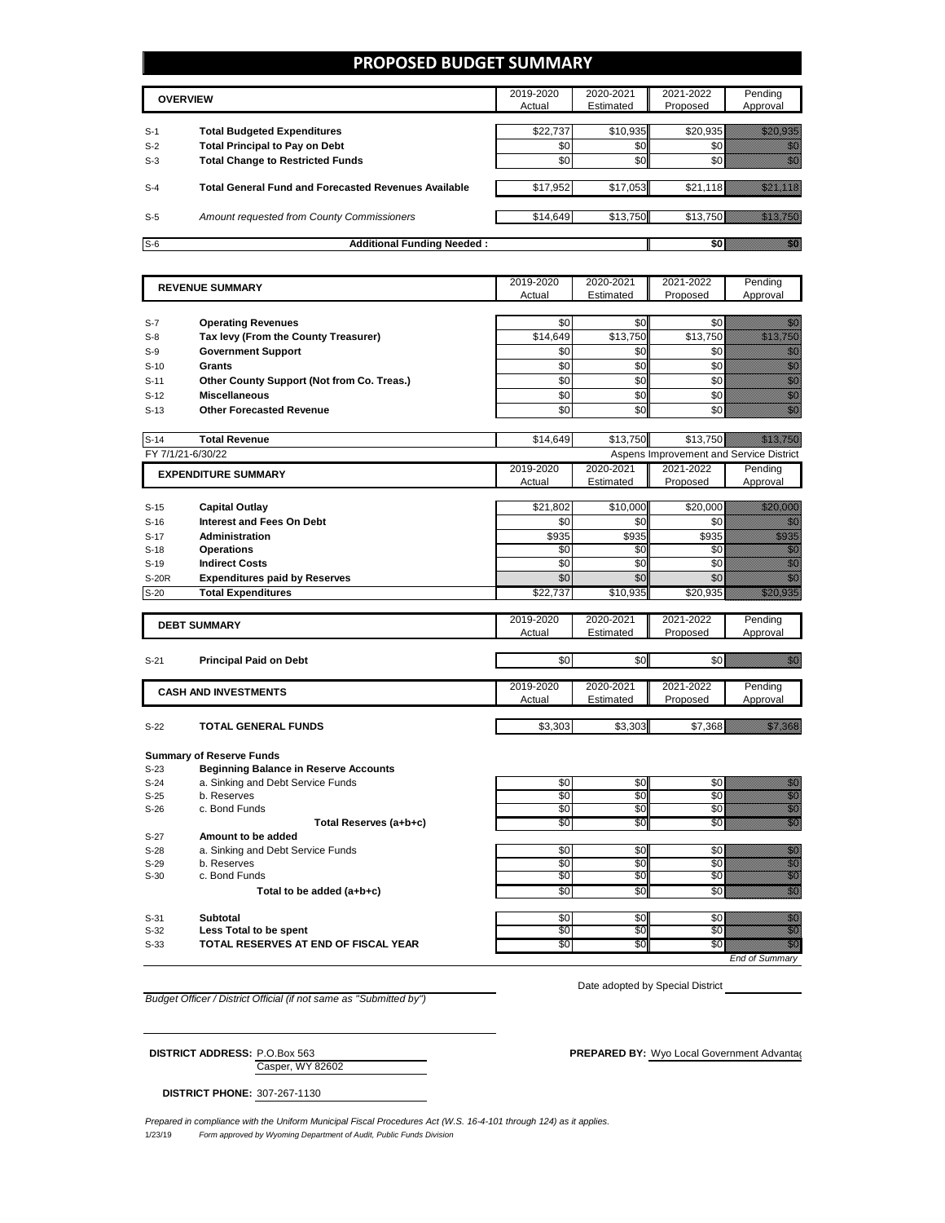### **PROPOSED BUDGET SUMMARY**

|       | <b>OVERVIEW</b>                                             | 2019-2020<br>Actual | 2020-2021<br>Estimated | 2021-2022<br>Proposed | Pending<br>Approval |
|-------|-------------------------------------------------------------|---------------------|------------------------|-----------------------|---------------------|
| $S-1$ | <b>Total Budgeted Expenditures</b>                          | \$22,737            | \$10,935               |                       | \$20,935            |
| $S-2$ | <b>Total Principal to Pay on Debt</b>                       | \$0                 | \$0                    |                       |                     |
| $S-3$ | <b>Total Change to Restricted Funds</b>                     | \$0                 | \$0                    |                       |                     |
| $S-4$ | <b>Total General Fund and Forecasted Revenues Available</b> | \$17,952            | \$17,053               | \$21.118              |                     |
| $S-5$ | <b>Amount requested from County Commissioners</b>           | \$14,649            | \$13,750               | \$13.750              |                     |
| $S-6$ | <b>Additional Funding Needed:</b>                           |                     |                        |                       |                     |

|                  | <b>REVENUE SUMMARY</b>                       | 2019-2020       | 2020-2021       | 2021-2022                               | Pending                                                                                                                                                                                                                                                                                                                                                                                                                                                             |
|------------------|----------------------------------------------|-----------------|-----------------|-----------------------------------------|---------------------------------------------------------------------------------------------------------------------------------------------------------------------------------------------------------------------------------------------------------------------------------------------------------------------------------------------------------------------------------------------------------------------------------------------------------------------|
|                  |                                              | Actual          | Estimated       | Proposed                                | Approval                                                                                                                                                                                                                                                                                                                                                                                                                                                            |
|                  |                                              |                 |                 |                                         |                                                                                                                                                                                                                                                                                                                                                                                                                                                                     |
| $S-7$            | <b>Operating Revenues</b>                    | \$0             | \$0             | \$0                                     | en de la familie de la familie de la familie de la familie de la familie de la familie de la familie de la fam<br>Constituit de la familie de la familie de la familie de la familie de la familie de la familie de la familie d                                                                                                                                                                                                                                    |
| $S-8$            | Tax levy (From the County Treasurer)         | \$14,649        | \$13,750        | \$13,750                                | <u> Karlin Maria Sant</u>                                                                                                                                                                                                                                                                                                                                                                                                                                           |
| $S-9$            | <b>Government Support</b>                    | \$0             | \$0             | \$0                                     | en de la familie de la familie de la familie de la familie de la familie de la familie de la familie de la fam<br>Constituit de la familie de la familie de la familie de la familie de la familie de la familie de la familie d                                                                                                                                                                                                                                    |
| $S-10$           | Grants                                       | \$0             | $\overline{50}$ | $\overline{50}$                         | en de la familie de la familie de la familie de la familie de la familie de la familie de la familie de la fam<br>Constituit de la familie de la familie de la familie de la familie de la familie de la familie de la familie d                                                                                                                                                                                                                                    |
| $S-11$           | Other County Support (Not from Co. Treas.)   | $\overline{50}$ | \$0             | \$0                                     | e de la composición de la composición de la composición de la composición de la composición de la composición<br>Campo de la composición de la composición de la composición de la composición de la composición de la composic                                                                                                                                                                                                                                     |
| $S-12$           | <b>Miscellaneous</b>                         | \$0             | \$0             | \$0                                     |                                                                                                                                                                                                                                                                                                                                                                                                                                                                     |
| $S-13$           | <b>Other Forecasted Revenue</b>              | \$0             | \$0             | \$0                                     |                                                                                                                                                                                                                                                                                                                                                                                                                                                                     |
|                  |                                              |                 |                 |                                         |                                                                                                                                                                                                                                                                                                                                                                                                                                                                     |
| $S-14$           | <b>Total Revenue</b>                         | \$14,649        | \$13,750        | \$13,750                                | <u> Martin Sa</u>                                                                                                                                                                                                                                                                                                                                                                                                                                                   |
|                  | FY 7/1/21-6/30/22                            |                 |                 | Aspens Improvement and Service District |                                                                                                                                                                                                                                                                                                                                                                                                                                                                     |
|                  | <b>EXPENDITURE SUMMARY</b>                   | 2019-2020       | 2020-2021       | 2021-2022                               | Pending                                                                                                                                                                                                                                                                                                                                                                                                                                                             |
|                  |                                              | Actual          | Estimated       | Proposed                                | Approval                                                                                                                                                                                                                                                                                                                                                                                                                                                            |
|                  |                                              |                 |                 |                                         | <u>i ka</u>                                                                                                                                                                                                                                                                                                                                                                                                                                                         |
| $S-15$           | <b>Capital Outlay</b>                        | \$21,802<br>\$0 | \$10,000        | \$20,000                                |                                                                                                                                                                                                                                                                                                                                                                                                                                                                     |
| $S-16$           | Interest and Fees On Debt                    |                 | \$0             | \$0                                     | en de la familie de la familie de la familie de la familie de la familie de la familie de la familie de la fam<br>De la familie de la familie de la familie de la familie de la familie de la familie de la familie de la famili                                                                                                                                                                                                                                    |
| $S-17$           | Administration                               | \$935           | \$935           | \$935                                   | a a an an t-                                                                                                                                                                                                                                                                                                                                                                                                                                                        |
| $S-18$<br>$S-19$ | <b>Operations</b><br><b>Indirect Costs</b>   | \$0<br>\$0      | \$0<br>\$0      | \$0<br>$\overline{30}$                  | en de la familie de la familie de la familie de la familie de la familie de la familie de la familie de la fa<br>Constitution de la familie de la familie de la familie de la familie de la familie de la familie de la familie<br>en de la familie de la familie de la familie de la familie de la familie de la familie de la familie de la fam<br>Constitution de la familie de la familie de la familie de la familie de la familie de la familie de la familie |
| <b>S-20R</b>     | <b>Expenditures paid by Reserves</b>         | \$0             | \$0             | \$0                                     | en de la familie de la familie de la familie de la familie de la familie de la familie de la familie de la fa<br>Construction de la familie de la familie de la familie de la familie de la familie de la familie de la familie                                                                                                                                                                                                                                     |
| $S-20$           | <b>Total Expenditures</b>                    | \$22,737        | \$10,935        | \$20,935                                | a a chuid ann                                                                                                                                                                                                                                                                                                                                                                                                                                                       |
|                  |                                              |                 |                 |                                         |                                                                                                                                                                                                                                                                                                                                                                                                                                                                     |
|                  |                                              | 2019-2020       | 2020-2021       | 2021-2022                               | Pending                                                                                                                                                                                                                                                                                                                                                                                                                                                             |
|                  | <b>DEBT SUMMARY</b>                          | Actual          | Estimated       | Proposed                                | Approval                                                                                                                                                                                                                                                                                                                                                                                                                                                            |
|                  |                                              |                 |                 |                                         |                                                                                                                                                                                                                                                                                                                                                                                                                                                                     |
| $S-21$           | <b>Principal Paid on Debt</b>                | \$0             | \$0             | \$0                                     | en de la familie de la familie de la familie de la familie de la familie de la familie de la familie de la fam<br>Constituit de la familie de la familie de la familie de la familie de la familie de la familie de la familie d                                                                                                                                                                                                                                    |
|                  |                                              |                 |                 |                                         |                                                                                                                                                                                                                                                                                                                                                                                                                                                                     |
|                  | <b>CASH AND INVESTMENTS</b>                  | 2019-2020       | 2020-2021       | 2021-2022                               | Pending                                                                                                                                                                                                                                                                                                                                                                                                                                                             |
|                  |                                              | Actual          | Estimated       | Proposed                                | Approval                                                                                                                                                                                                                                                                                                                                                                                                                                                            |
| $S-22$           | <b>TOTAL GENERAL FUNDS</b>                   | \$3,303         | \$3,303         | \$7,368                                 | <u> Karlin Sara</u>                                                                                                                                                                                                                                                                                                                                                                                                                                                 |
|                  |                                              |                 |                 |                                         |                                                                                                                                                                                                                                                                                                                                                                                                                                                                     |
|                  | <b>Summary of Reserve Funds</b>              |                 |                 |                                         |                                                                                                                                                                                                                                                                                                                                                                                                                                                                     |
| $S-23$           | <b>Beginning Balance in Reserve Accounts</b> |                 |                 |                                         |                                                                                                                                                                                                                                                                                                                                                                                                                                                                     |
| $S-24$           | a. Sinking and Debt Service Funds            | \$0             | \$0             | \$0                                     |                                                                                                                                                                                                                                                                                                                                                                                                                                                                     |
| $S-25$           | b. Reserves                                  | $\overline{50}$ | \$0             | \$0                                     | e al de la composición de la composición de la composición de la composición de la composición de la composició<br>Al de la composición de la composición de la composición de la composición de la composición de la composición                                                                                                                                                                                                                                   |
| $S-26$           | c. Bond Funds                                | \$0             | \$0             | \$0                                     | en de la familie de la familie de la familie de la familie de la familie de la familie de la familie de la fam<br>Concelho de la familie de la familie de la familie de la familie de la familie de la familie de la familie de                                                                                                                                                                                                                                     |
|                  | Total Reserves (a+b+c)                       | \$0             | \$0             | \$0                                     | en de la familie de la familie de la familie de la familie de la familie de la familie de la familie de la fam<br>Communesta de la familie de la familie de la familie de la familie de la familie de la familie de la familie d                                                                                                                                                                                                                                    |
| $S-27$           | Amount to be added                           |                 |                 |                                         |                                                                                                                                                                                                                                                                                                                                                                                                                                                                     |
| $S-28$           | a. Sinking and Debt Service Funds            | \$0             | \$0             | \$0                                     | en de la familie de la familie de la familie de la familie de la familie de la familie de la familie de la fa<br>Concello de la familie de la familie de la familie de la familie de la familie de la familie de la familie de                                                                                                                                                                                                                                      |
| $S-29$           | b. Reserves                                  | \$0             | \$0             | \$0                                     | e de la composición de la composición de la composición de la composición de la composición de la composición<br>Campo de la composición de la composición de la composición de la composición de la composición de la composic                                                                                                                                                                                                                                     |
| $S-30$           | c. Bond Funds                                | \$0             | \$0             | \$0                                     |                                                                                                                                                                                                                                                                                                                                                                                                                                                                     |
|                  | Total to be added (a+b+c)                    | \$0             | \$0             | \$0                                     | en de la familie de la familie de la familie de la familie de la familie de la familie de la familie de la fa<br>Concello de la familie de la familie de la familie de la familie de la familie de la familie de la familie de                                                                                                                                                                                                                                      |

S-31 **Subtotal** \$0 \$0 \$0 \$0 S-32 **Less Total to be spent** \$0 \$0 \$0 \$0 S-33 **TOTAL RESERVES AT END OF FISCAL YEAR** \$0 \$0 \$0 \$0 \$0 \$0

*End of Summary*

Date adopted by Special District

*Budget Officer / District Official (if not same as "Submitted by")*

Casper, WY 82602 **DISTRICT ADDRESS:** P.O.Box 563 **PREPARED BY:** Wyo Local Government Advantagent Advantage Consulting Consulting Consulting Consulting Consulting Consulting Consulting Consulting Consulting Consulting Consulting Consulting

**DISTRICT PHONE:** 307-267-1130

1/23/19 *Form approved by Wyoming Department of Audit, Public Funds Division Prepared in compliance with the Uniform Municipal Fiscal Procedures Act (W.S. 16-4-101 through 124) as it applies.*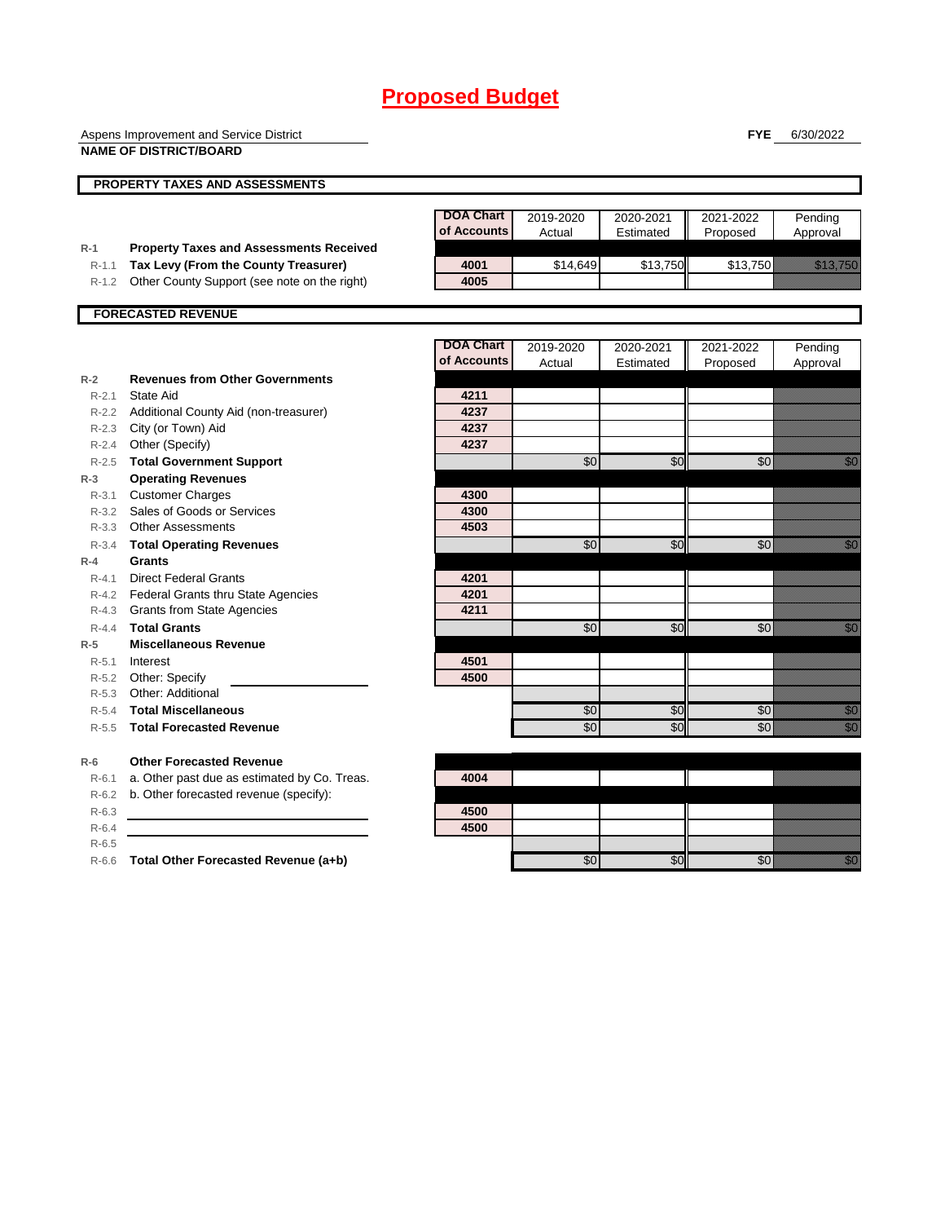|           | Aspens Improvement and Service District        |                  |           |           | <b>FYE</b>      | 6/30/2022                                                                                                                                                                                                                      |
|-----------|------------------------------------------------|------------------|-----------|-----------|-----------------|--------------------------------------------------------------------------------------------------------------------------------------------------------------------------------------------------------------------------------|
|           | <b>NAME OF DISTRICT/BOARD</b>                  |                  |           |           |                 |                                                                                                                                                                                                                                |
|           | <b>PROPERTY TAXES AND ASSESSMENTS</b>          |                  |           |           |                 |                                                                                                                                                                                                                                |
|           |                                                |                  |           |           |                 |                                                                                                                                                                                                                                |
|           |                                                | <b>DOA Chart</b> | 2019-2020 | 2020-2021 | 2021-2022       | Pending                                                                                                                                                                                                                        |
|           |                                                | of Accounts      | Actual    | Estimated | Proposed        | Approval                                                                                                                                                                                                                       |
| $R-1$     | <b>Property Taxes and Assessments Received</b> |                  |           |           |                 |                                                                                                                                                                                                                                |
| $R-1.1$   | Tax Levy (From the County Treasurer)           | 4001             | \$14,649  | \$13,750  | \$13,750        | <u>ting and the second second in the second second in the second second in the second second in the second second</u>                                                                                                          |
| $R-1.2$   | Other County Support (see note on the right)   | 4005             |           |           |                 |                                                                                                                                                                                                                                |
|           | <b>FORECASTED REVENUE</b>                      |                  |           |           |                 |                                                                                                                                                                                                                                |
|           |                                                |                  |           |           |                 |                                                                                                                                                                                                                                |
|           |                                                | <b>DOA Chart</b> | 2019-2020 | 2020-2021 | 2021-2022       | Pending                                                                                                                                                                                                                        |
|           |                                                | of Accounts      | Actual    | Estimated | Proposed        | Approval                                                                                                                                                                                                                       |
| $R-2$     | <b>Revenues from Other Governments</b>         |                  |           |           |                 |                                                                                                                                                                                                                                |
| $R - 2.1$ | State Aid                                      | 4211             |           |           |                 |                                                                                                                                                                                                                                |
|           | R-2.2 Additional County Aid (non-treasurer)    | 4237             |           |           |                 |                                                                                                                                                                                                                                |
|           | R-2.3 City (or Town) Aid                       | 4237             |           |           |                 |                                                                                                                                                                                                                                |
|           | R-2.4 Other (Specify)                          | 4237             |           |           |                 |                                                                                                                                                                                                                                |
|           | R-2.5 Total Government Support                 |                  | \$0       | \$0       | $\overline{50}$ | <u>i Sa</u>                                                                                                                                                                                                                    |
| $R-3$     | <b>Operating Revenues</b>                      |                  |           |           |                 |                                                                                                                                                                                                                                |
| R-3.1     | <b>Customer Charges</b>                        | 4300             |           |           |                 |                                                                                                                                                                                                                                |
|           | R-3.2 Sales of Goods or Services               | 4300             |           |           |                 |                                                                                                                                                                                                                                |
| R-3.3     | <b>Other Assessments</b>                       | 4503             |           |           |                 |                                                                                                                                                                                                                                |
| $R - 3.4$ | <b>Total Operating Revenues</b>                |                  | \$0       | \$0       | \$0             | en de la familie de la familie de la familie de la familie de la familie de la familie de la familie de la fa<br>Concelho de la familie de la familie de la familie de la familie de la familie de la familie de la familie de |
| $R-4$     | <b>Grants</b>                                  |                  |           |           |                 |                                                                                                                                                                                                                                |
| $R - 4.1$ | <b>Direct Federal Grants</b>                   | 4201             |           |           |                 |                                                                                                                                                                                                                                |
| R-4.2     | Federal Grants thru State Agencies             | 4201             |           |           |                 |                                                                                                                                                                                                                                |
| R-4.3     | <b>Grants from State Agencies</b>              | 4211             |           |           |                 |                                                                                                                                                                                                                                |
| $R - 4.4$ | <b>Total Grants</b>                            |                  | \$0       | \$0       | \$0             | en de la familie de la familie de la familie de la familie de la familie de la familie de la familie de la fa<br>Espainia                                                                                                      |
| $R-5$     | <b>Miscellaneous Revenue</b>                   |                  |           |           |                 |                                                                                                                                                                                                                                |
| $R-5.1$   | Interest                                       | 4501             |           |           |                 |                                                                                                                                                                                                                                |
|           | R-5.2 Other: Specify                           | 4500             |           |           |                 |                                                                                                                                                                                                                                |
|           | R-5.3 Other: Additional                        |                  |           |           |                 |                                                                                                                                                                                                                                |
| R-5.4     | <b>Total Miscellaneous</b>                     |                  | \$0       | \$0       | \$0             | en de la familie de la familie de la familie de la familie de la familie de la familie de la familie de la fa<br>Concelho de la familie de la familie de la familie de la familie de la familie de la familie de la familie de |
| $R-5.5$   | <b>Total Forecasted Revenue</b>                |                  | \$0       | \$0       | \$0             | en<br>Maria                                                                                                                                                                                                                    |
| $R-6$     | <b>Other Forecasted Revenue</b>                |                  |           |           |                 |                                                                                                                                                                                                                                |
| $R-6.1$   | a. Other past due as estimated by Co. Treas.   | 4004             |           |           |                 |                                                                                                                                                                                                                                |
| $R-6.2$   | b. Other forecasted revenue (specify):         |                  |           |           |                 |                                                                                                                                                                                                                                |
| $R-6.3$   |                                                | 4500             |           |           |                 |                                                                                                                                                                                                                                |
| $R-6.4$   |                                                | 4500             |           |           |                 |                                                                                                                                                                                                                                |
| $R-6.5$   |                                                |                  |           |           |                 |                                                                                                                                                                                                                                |

R-6.6 **Total Other Forecasted Revenue (a+b)**  $\overline{30}$   $\overline{30}$   $\overline{30}$   $\overline{30}$   $\overline{30}$   $\overline{30}$   $\overline{30}$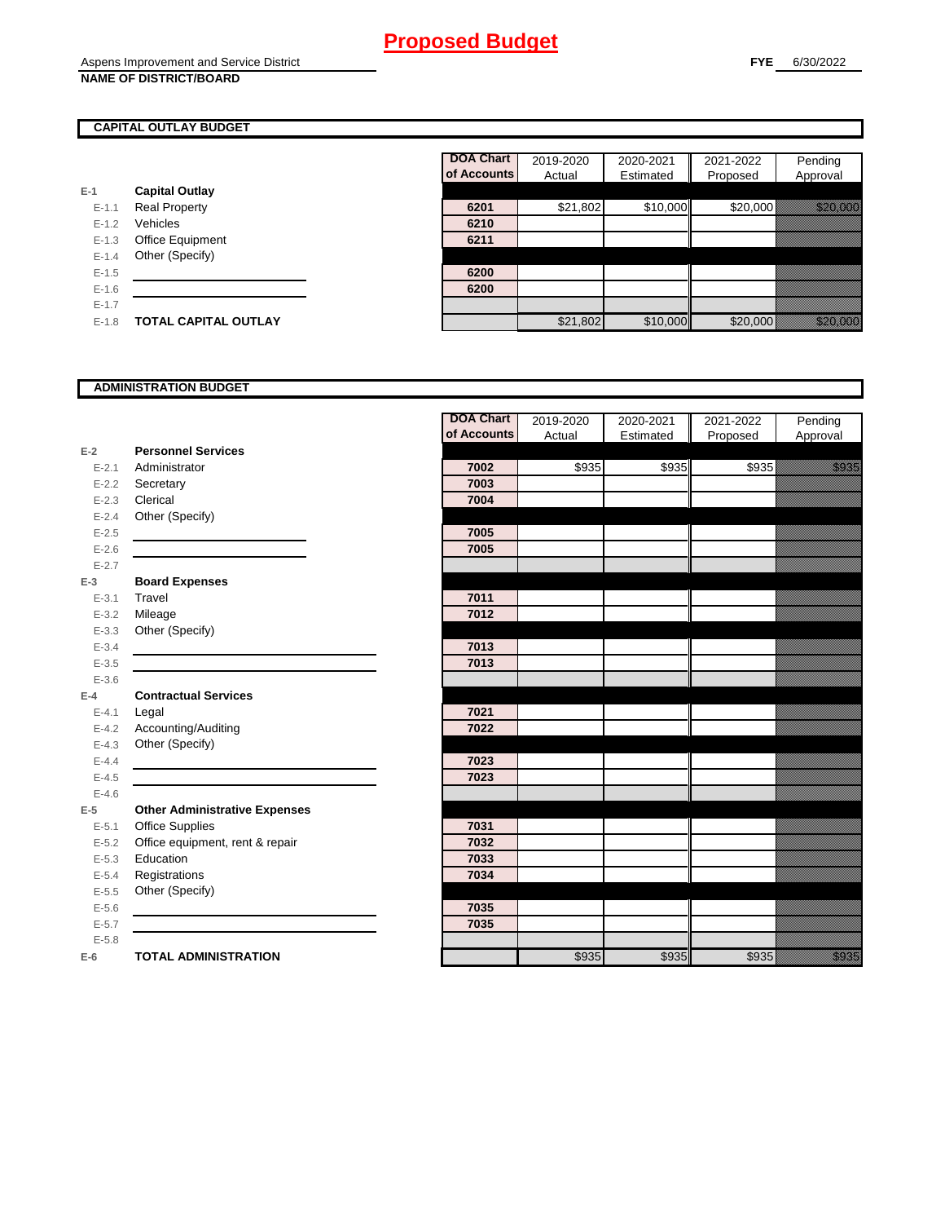### **CAPITAL OUTLAY BUDGET**

|           |                             | u nuuu |
|-----------|-----------------------------|--------|
| $E-1$     | <b>Capital Outlay</b>       |        |
| $E - 1.1$ | <b>Real Property</b>        | 6201   |
| $E - 1.2$ | Vehicles                    | 6210   |
| $E-1.3$   | <b>Office Equipment</b>     | 6211   |
| $E - 1.4$ | Other (Specify)             |        |
| $E - 1.5$ |                             | 6200   |
| $E-1.6$   |                             | 6200   |
| $E - 1.7$ |                             |        |
| $E-1.8$   | <b>TOTAL CAPITAL OUTLAY</b> |        |

|           |                             | <b>DOA Chart</b> | 2019-2020 | 2020-2021 | 2021-2022 | Pending                |
|-----------|-----------------------------|------------------|-----------|-----------|-----------|------------------------|
|           |                             | of Accounts      | Actual    | Estimated | Proposed  | Approval               |
|           | <b>Capital Outlay</b>       |                  |           |           |           |                        |
| $E - 1.1$ | <b>Real Property</b>        | 6201             | \$21,802  | \$10,000  | \$20,000  | <u> Karlingan Sara</u> |
| $E-1.2$   | Vehicles                    | 6210             |           |           |           |                        |
| $E - 1.3$ | Office Equipment            | 6211             |           |           |           |                        |
| $E-1.4$   | Other (Specify)             |                  |           |           |           |                        |
| $E-1.5$   |                             | 6200             |           |           |           |                        |
| $E-1.6$   |                             | 6200             |           |           |           |                        |
| $E - 1.7$ |                             |                  |           |           |           |                        |
| $E-1.8$   | <b>TOTAL CAPITAL OUTLAY</b> |                  | \$21,802  | \$10,000  | \$20,000  | <u> Karl Karl Sara</u> |
|           |                             |                  |           |           |           |                        |

### **ADMINISTRATION BUDGET**

|           |                                      | <b>DOA Chart</b> | 2019-2020 | 2020-2021          | 2021-2022     | Pending      |
|-----------|--------------------------------------|------------------|-----------|--------------------|---------------|--------------|
|           |                                      | of Accounts      | Actual    | Estimated          | Proposed      | Approval     |
| $E-2$     | <b>Personnel Services</b>            |                  |           |                    |               |              |
| $E - 2.1$ | Administrator                        | 7002             | \$935     | $\overline{$}$ 935 | $\sqrt{3935}$ | <u>i ka</u>  |
| $E - 2.2$ | Secretary                            | 7003             |           |                    |               |              |
| $E - 2.3$ | Clerical                             | 7004             |           |                    |               |              |
| $E - 2.4$ | Other (Specify)                      |                  |           |                    |               |              |
| $E - 2.5$ |                                      | 7005             |           |                    |               |              |
| $E-2.6$   |                                      | 7005             |           |                    |               |              |
| $E - 2.7$ |                                      |                  |           |                    |               |              |
| $E-3$     | <b>Board Expenses</b>                |                  |           |                    |               |              |
| $E - 3.1$ | Travel                               | 7011             |           |                    |               |              |
| $E - 3.2$ | Mileage                              | 7012             |           |                    |               |              |
| $E - 3.3$ | Other (Specify)                      |                  |           |                    |               |              |
| $E - 3.4$ |                                      | 7013             |           |                    |               |              |
| $E - 3.5$ |                                      | 7013             |           |                    |               |              |
| $E - 3.6$ |                                      |                  |           |                    |               |              |
| $E-4$     | <b>Contractual Services</b>          |                  |           |                    |               |              |
| $E - 4.1$ | Legal                                | 7021             |           |                    |               |              |
| $E-4.2$   | Accounting/Auditing                  | 7022             |           |                    |               |              |
| $E - 4.3$ | Other (Specify)                      |                  |           |                    |               |              |
| $E - 4.4$ |                                      | 7023             |           |                    |               |              |
| $E-4.5$   |                                      | 7023             |           |                    |               |              |
| $E - 4.6$ |                                      |                  |           |                    |               |              |
| $E-5$     | <b>Other Administrative Expenses</b> |                  |           |                    |               |              |
| $E - 5.1$ | <b>Office Supplies</b>               | 7031             |           |                    |               |              |
| $E - 5.2$ | Office equipment, rent & repair      | 7032             |           |                    |               |              |
| $E - 5.3$ | Education                            | 7033             |           |                    |               |              |
| $E - 5.4$ | Registrations                        | 7034             |           |                    |               |              |
| $E - 5.5$ | Other (Specify)                      |                  |           |                    |               |              |
| $E - 5.6$ |                                      | 7035             |           |                    |               |              |
| $E - 5.7$ |                                      | 7035             |           |                    |               |              |
| $E - 5.8$ |                                      |                  |           |                    |               |              |
| $E-6$     | <b>TOTAL ADMINISTRATION</b>          |                  | \$935     | \$935              | \$935         | a a an an t- |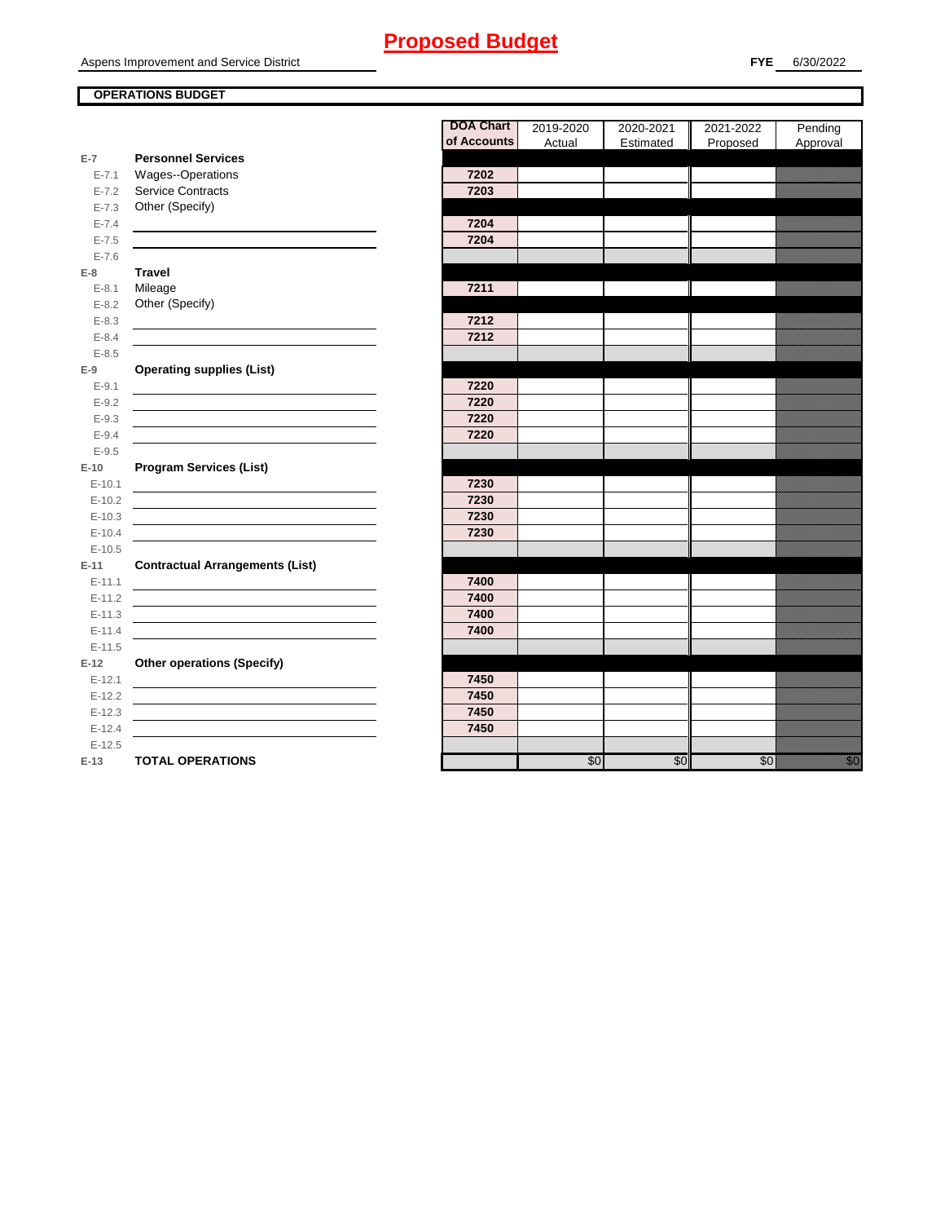Aspens Improvement and Service District

### **OPERATIONS BUDGET**

**E-7**

E-7.6 **E-8 Travel**

E-8.5 **E-9**

E-9.5 **E-10**

E-10.5 **E-11 Contractual Arrangements (List)** 

E-11.5 **E-12** 

|            |                                        | <b>DOA Chart</b><br>of Accounts | 2019-2020<br>Actual | 2020-2021<br>Estimated | 2021-2022<br>Proposed | Pending<br>Approval                                                                                               |
|------------|----------------------------------------|---------------------------------|---------------------|------------------------|-----------------------|-------------------------------------------------------------------------------------------------------------------|
| $E-7$      | <b>Personnel Services</b>              |                                 |                     |                        |                       |                                                                                                                   |
| $E - 7.1$  | Wages--Operations                      | 7202                            |                     |                        |                       |                                                                                                                   |
| $E - 7.2$  | Service Contracts                      | 7203                            |                     |                        |                       |                                                                                                                   |
| $E - 7.3$  | Other (Specify)                        |                                 |                     |                        |                       |                                                                                                                   |
| $E - 7.4$  |                                        | 7204                            |                     |                        |                       |                                                                                                                   |
| $E - 7.5$  |                                        | 7204                            |                     |                        |                       |                                                                                                                   |
| $E - 7.6$  |                                        |                                 |                     |                        |                       |                                                                                                                   |
| E-8        | <b>Travel</b>                          |                                 |                     |                        |                       |                                                                                                                   |
| $E - 8.1$  | Mileage                                | 7211                            |                     |                        |                       |                                                                                                                   |
| $E - 8.2$  | Other (Specify)                        |                                 |                     |                        |                       |                                                                                                                   |
| $E - 8.3$  |                                        | 7212                            |                     |                        |                       |                                                                                                                   |
| $E - 8.4$  |                                        | 7212                            |                     |                        |                       |                                                                                                                   |
| $E - 8.5$  |                                        |                                 |                     |                        |                       |                                                                                                                   |
| E-9        | <b>Operating supplies (List)</b>       |                                 |                     |                        |                       |                                                                                                                   |
| $E-9.1$    |                                        | 7220                            |                     |                        |                       |                                                                                                                   |
| $E - 9.2$  |                                        | 7220                            |                     |                        |                       |                                                                                                                   |
| $E - 9.3$  |                                        | 7220                            |                     |                        |                       |                                                                                                                   |
| $E - 9.4$  |                                        | 7220                            |                     |                        |                       |                                                                                                                   |
| $E-9.5$    |                                        |                                 |                     |                        |                       |                                                                                                                   |
| $E-10$     | <b>Program Services (List)</b>         |                                 |                     |                        |                       |                                                                                                                   |
| $E-10.1$   |                                        | 7230                            |                     |                        |                       |                                                                                                                   |
| $E-10.2$   |                                        | 7230                            |                     |                        |                       |                                                                                                                   |
| $E-10.3$   |                                        | 7230                            |                     |                        |                       |                                                                                                                   |
| $E-10.4$   |                                        | 7230                            |                     |                        |                       |                                                                                                                   |
| $E-10.5$   |                                        |                                 |                     |                        |                       |                                                                                                                   |
| $E-11$     | <b>Contractual Arrangements (List)</b> |                                 |                     |                        |                       |                                                                                                                   |
| $E - 11.1$ |                                        | 7400                            |                     |                        |                       |                                                                                                                   |
| $E - 11.2$ |                                        | 7400                            |                     |                        |                       |                                                                                                                   |
| $E-11.3$   |                                        | 7400                            |                     |                        |                       |                                                                                                                   |
| $E - 11.4$ |                                        | 7400                            |                     |                        |                       |                                                                                                                   |
| $E-11.5$   |                                        |                                 |                     |                        |                       |                                                                                                                   |
| E-12       | <b>Other operations (Specify)</b>      |                                 |                     |                        |                       |                                                                                                                   |
| $E-12.1$   |                                        | 7450                            |                     |                        |                       |                                                                                                                   |
| $E-12.2$   |                                        | 7450                            |                     |                        |                       |                                                                                                                   |
| $E-12.3$   |                                        | 7450                            |                     |                        |                       |                                                                                                                   |
| $E-12.4$   |                                        | 7450                            |                     |                        |                       |                                                                                                                   |
| $E-12.5$   |                                        |                                 |                     |                        |                       |                                                                                                                   |
| $E-13$     | <b>TOTAL OPERATIONS</b>                |                                 | $\overline{30}$     | \$0                    | $\overline{30}$       | en de la falsa<br>Maria de la falsa de la falsa de la falsa de la falsa de la falsa de la falsa de la falsa de la |
|            |                                        |                                 |                     |                        |                       |                                                                                                                   |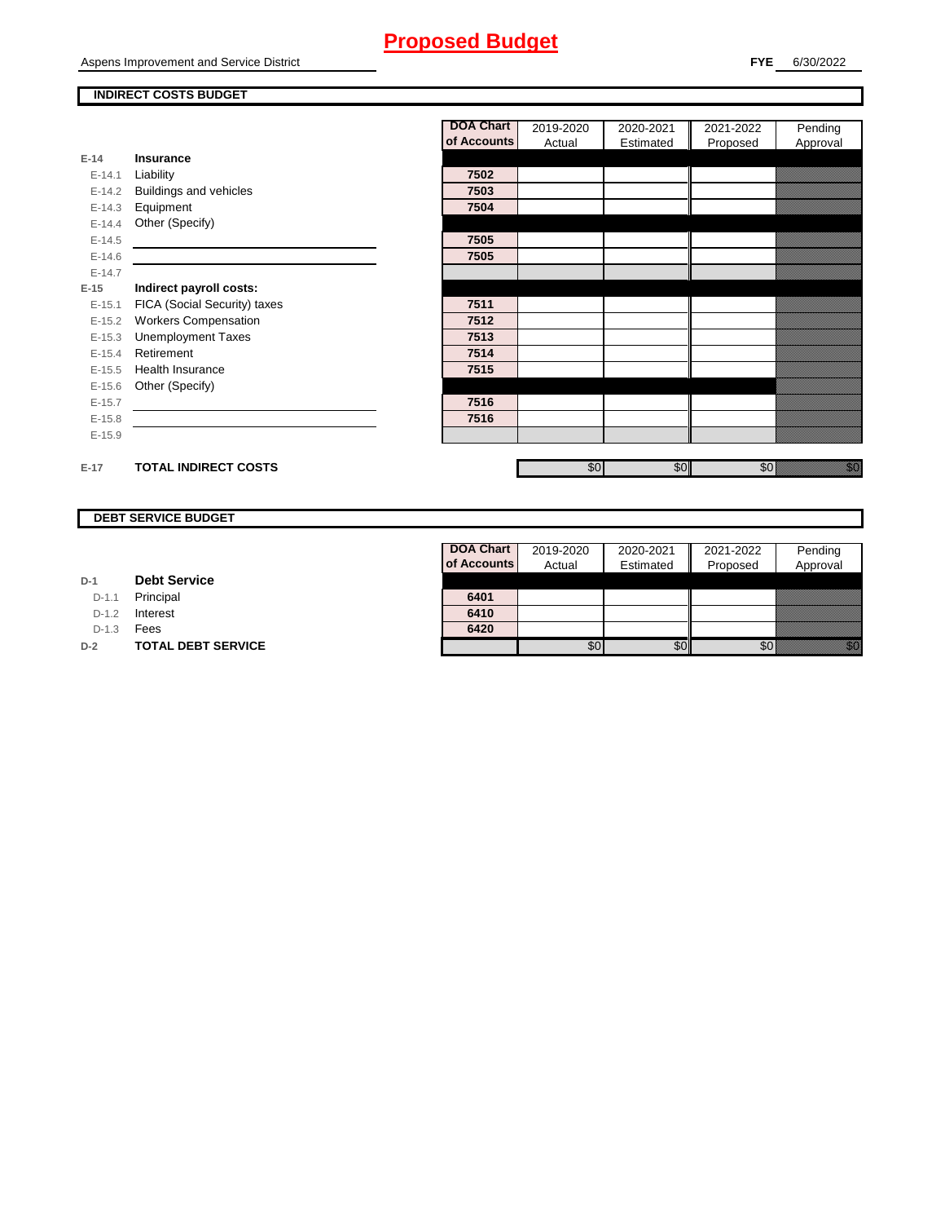Aspens Improvement and Service District

### **INDIRECT COSTS BUDGET**

|          |                              | <b>DOA Chart</b> | 2019-2020 | 2020-2021 | 2021-2022 | Pending                                                                                                                         |
|----------|------------------------------|------------------|-----------|-----------|-----------|---------------------------------------------------------------------------------------------------------------------------------|
|          |                              | of Accounts      | Actual    | Estimated | Proposed  | Approval                                                                                                                        |
| $E-14$   | Insurance                    |                  |           |           |           |                                                                                                                                 |
| $E-14.1$ | Liability                    | 7502             |           |           |           |                                                                                                                                 |
| $E-14.2$ | Buildings and vehicles       | 7503             |           |           |           |                                                                                                                                 |
| $E-14.3$ | Equipment                    | 7504             |           |           |           |                                                                                                                                 |
| $E-14.4$ | Other (Specify)              |                  |           |           |           |                                                                                                                                 |
| $E-14.5$ |                              | 7505             |           |           |           |                                                                                                                                 |
| $E-14.6$ |                              | 7505             |           |           |           |                                                                                                                                 |
| $E-14.7$ |                              |                  |           |           |           |                                                                                                                                 |
| $E-15$   | Indirect payroll costs:      |                  |           |           |           |                                                                                                                                 |
| $E-15.1$ | FICA (Social Security) taxes | 7511             |           |           |           |                                                                                                                                 |
| $E-15.2$ | <b>Workers Compensation</b>  | 7512             |           |           |           |                                                                                                                                 |
| $E-15.3$ | <b>Unemployment Taxes</b>    | 7513             |           |           |           |                                                                                                                                 |
| $E-15.4$ | Retirement                   | 7514             |           |           |           |                                                                                                                                 |
| $E-15.5$ | <b>Health Insurance</b>      | 7515             |           |           |           |                                                                                                                                 |
| $E-15.6$ | Other (Specify)              |                  |           |           |           |                                                                                                                                 |
| $E-15.7$ |                              | 7516             |           |           |           |                                                                                                                                 |
| $E-15.8$ |                              | 7516             |           |           |           |                                                                                                                                 |
| $E-15.9$ |                              |                  |           |           |           |                                                                                                                                 |
|          |                              |                  |           |           |           |                                                                                                                                 |
| $E-17$   | <b>TOTAL INDIRECT COSTS</b>  |                  | \$0       | \$0       | \$0       | en de la filo<br>Maria de la filòla del conte del conte del conte del conte del conte del conte del conte del conte del conte d |

### **DEBT SERVICE BUDGET**

| D-1 |  | <b>Debt Service</b> |
|-----|--|---------------------|
|-----|--|---------------------|

D-1.1 Principal

D-1.2 **Interest** 

D-1.3 **Fees** 

**D-2 TOTAL DEBT SERVICE** 

| <b>DOA Chart</b> | 2019-2020 | 2020-2021 | 2021-2022 | Pending  |
|------------------|-----------|-----------|-----------|----------|
| of Accounts      | Actual    | Estimated | Proposed  | Approval |
|                  |           |           |           |          |
| 6401             |           |           |           |          |
| 6410             |           |           |           |          |
| 6420             |           |           |           |          |
|                  |           |           |           |          |